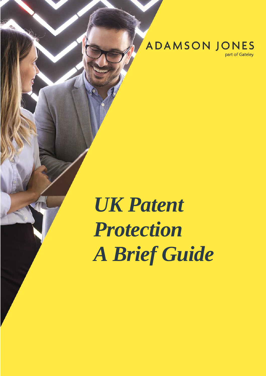**ADAMSON JONES** 

part of Gateley

# *UK Patent Protection A Brief Guide*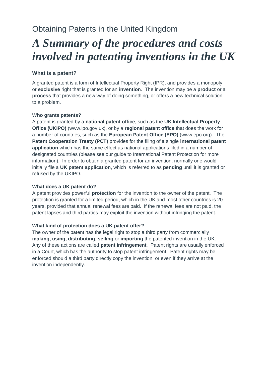### Obtaining Patents in the United Kingdom

## *A Summary of the procedures and costs involved in patenting inventions in the UK*

#### **What is a patent?**

A granted patent is a form of Intellectual Property Right (IPR), and provides a monopoly or **exclusive** right that is granted for an **invention**. The invention may be a **product** or a **process** that provides a new way of doing something, or offers a new technical solution to a problem.

#### **Who grants patents?**

A patent is granted by a **national patent office**, such as the **UK Intellectual Property Office (UKIPO)** (www.ipo.gov.uk), or by a **regional patent office** that does the work for a number of countries, such as the **European Patent Office (EPO)** (www.epo.org). The **Patent Cooperation Treaty (PCT)** provides for the filing of a single **international patent application** which has the same effect as national applications filed in a number of designated countries (please see our guide to International Patent Protection for more information). In order to obtain a granted patent for an invention, normally one would initially file a **UK patent application**, which is referred to as **pending** until it is granted or refused by the UKIPO.

#### **What does a UK patent do?**

A patent provides powerful **protection** for the invention to the owner of the patent. The protection is granted for a limited period, which in the UK and most other countries is 20 years, provided that annual renewal fees are paid. If the renewal fees are not paid, the patent lapses and third parties may exploit the invention without infringing the patent.

#### **What kind of protection does a UK patent offer?**

The owner of the patent has the legal right to stop a third party from commercially **making, using, distributing, selling** or **importing** the patented invention in the UK. Any of these actions are called **patent infringement**.Patent rights are usually enforced in a Court, which has the authority to stop patent infringement. Patent rights may be enforced should a third party directly copy the invention, or even if they arrive at the invention independently.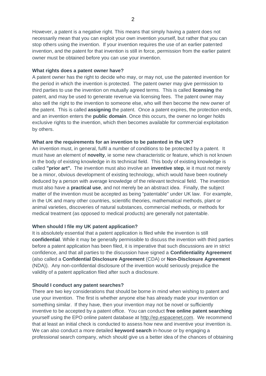However, a patent is a negative right. This means that simply having a patent does not necessarily mean that you can exploit your own invention yourself, but rather that you can stop others using the invention. If your invention requires the use of an earlier patented invention, and the patent for that invention is still in force, permission from the earlier patent owner must be obtained before you can use your invention.

#### **What rights does a patent owner have?**

A patent owner has the right to decide who may, or may not, use the patented invention for the period in which the invention is protected. The patent owner may give permission to third parties to use the invention on mutually agreed terms. This is called **licensing** the patent, and may be used to generate revenue via licensing fees. The patent owner may also sell the right to the invention to someone else, who will then become the new owner of the patent. This is called **assigning** the patent. Once a patent expires, the protection ends, and an invention enters the **public domain**. Once this occurs, the owner no longer holds exclusive rights to the invention, which then becomes available for commercial exploitation by others.

#### **What are the requirements for an invention to be patented in the UK?**

An invention must, in general, fulfil a number of conditions to be protected by a patent. It must have an element of **novelty**, ie some new characteristic or feature, which is not known in the body of existing knowledge in its technical field. This body of existing knowledge is called **"prior art".** The invention must also involve an **inventive step**, ie it must not merely be a minor, obvious development of existing technology, which would have been routinely deduced by a person with average knowledge of the relevant technical field. The invention must also have a **practical use**, and not merely be an abstract idea.Finally, the subject matter of the invention must be accepted as being "patentable" under UK law. For example, in the UK and many other countries, scientific theories, mathematical methods, plant or animal varieties, discoveries of natural substances, commercial methods, or methods for medical treatment (as opposed to medical products) are generally not patentable.

#### **When should I file my UK patent application?**

It is absolutely essential that a patent application is filed while the invention is still **confidential**. While it may be generally permissible to discuss the invention with third parties before a patent application has been filed, it is imperative that such discussions are in strict confidence, and that all parties to the discussion have signed a **Confidentiality Agreement** (also called a **Confidential Disclosure Agreement** (CDA) or **Non-Disclosure Agreement** (NDA)). Any non-confidential disclosure of the invention would seriously prejudice the validity of a patent application filed after such a disclosure.

#### **Should I conduct any patent searches?**

There are two key considerations that should be borne in mind when wishing to patent and use your invention. The first is whether anyone else has already made your invention or something similar. If they have, then your invention may not be novel or sufficiently inventive to be accepted by a patent office. You can conduct **free online patent searching** yourself using the EPO online patent database at [http://ep.espacenet.com.](http://ep.espacenet.com/) We recommend that at least an initial check is conducted to assess how new and inventive your invention is. We can also conduct a more detailed **keyword search** in-house or by engaging a professional search company, which should give us a better idea of the chances of obtaining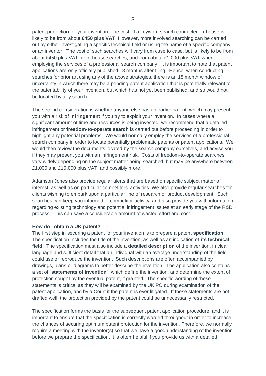patent protection for your invention. The cost of a keyword search conducted in-house is likely to be from about **£450 plus VAT**. However, more involved searching can be carried out by either investigating a specific technical field or using the name of a specific company or an inventor. The cost of such searches will vary from case to case, but is likely to be from about £450 plus VAT for in-house searches, and from about £1,000 plus VAT when employing the services of a professional search company. It is important to note that patent applications are only officially published 18 months after filing. Hence, when conducting searches for prior art using any of the above strategies, there is an 18 month window of uncertainty in which there may be a pending patent application that is potentially relevant to the patentability of your invention, but which has not yet been published, and so would not be located by any search.

The second consideration is whether anyone else has an earlier patent, which may present you with a risk of **infringement** if you try to exploit your invention. In cases where a significant amount of time and resources is being invested, we recommend that a detailed infringement or **freedom-to-operate search** is carried out before proceeding in order to highlight any potential problems. We would normally employ the services of a professional search company in order to locate potentially problematic patents or patent applications. We would then review the documents located by the search company ourselves, and advise you if they may present you with an infringement risk. Costs of freedom-to-operate searches vary widely depending on the subject matter being searched, but may be anywhere between £1,000 and £10,000 plus VAT, and possibly more.

Adamson Jones also provide regular alerts that are based on specific subject matter of interest, as well as on particular competitors' activities. We also provide regular searches for clients wishing to embark upon a particular line of research or product development. Such searches can keep you informed of competitor activity, and also provide you with information regarding existing technology and potential infringement issues at an early stage of the R&D process. This can save a considerable amount of wasted effort and cost.

#### **How do I obtain a UK patent?**

The first step in securing a patent for your invention is to prepare a patent **specification**. The specification includes the title of the invention, as well as an indication of **its technical field**. The specification must also include a **detailed description** of the invention, in clear language and sufficient detail that an individual with an average understanding of the field could use or reproduce the invention. Such descriptions are often accompanied by drawings, plans or diagrams to better describe the invention. The application also contains a set of "**statements of invention**", which define the invention, and determine the extent of protection sought by the eventual patent, if granted. The specific wording of these statements is critical as they will be examined by the UKIPO during examination of the patent application, and by a Court if the patent is ever litigated. If these statements are not drafted well, the protection provided by the patent could be unnecessarily restricted.

The specification forms the basis for the subsequent patent application procedure, and it is important to ensure that the specification is correctly worded throughout in order to increase the chances of securing optimum patent protection for the invention. Therefore, we normally require a meeting with the inventor(s) so that we have a good understanding of the invention before we prepare the specification. It is often helpful if you provide us with a detailed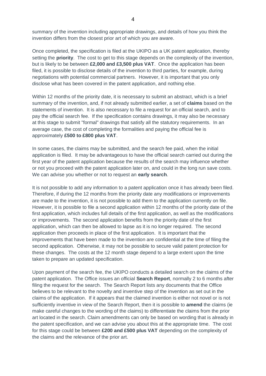summary of the invention including appropriate drawings, and details of how you think the invention differs from the closest prior art of which you are aware.

Once completed, the specification is filed at the UKIPO as a UK patent application, thereby setting the **priority**. The cost to get to this stage depends on the complexity of the invention, but is likely to be between **£2,000 and £3,500 plus VAT**. Once the application has been filed, it is possible to disclose details of the invention to third parties, for example, during negotiations with potential commercial partners. However, it is important that you only disclose what has been covered in the patent application, and nothing else.

Within 12 months of the priority date, it is necessary to submit an abstract, which is a brief summary of the invention, and, if not already submitted earlier, a set of **claims** based on the statements of invention. It is also necessary to file a request for an official search, and to pay the official search fee. If the specification contains drawings, it may also be necessary at this stage to submit "formal" drawings that satisfy all the statutory requirements. In an average case, the cost of completing the formalities and paying the official fee is approximately **£500 to £800 plus VAT**.

In some cases, the claims may be submitted, and the search fee paid, when the initial application is filed. It may be advantageous to have the official search carried out during the first year of the patent application because the results of the search may influence whether or not you proceed with the patent application later on, and could in the long run save costs. We can advise you whether or not to request an **early search**.

It is not possible to add any information to a patent application once it has already been filed. Therefore, if during the 12 months from the priority date any modifications or improvements are made to the invention, it is not possible to add them to the application currently on file. However, it is possible to file a second application within 12 months of the priority date of the first application, which includes full details of the first application, as well as the modifications or improvements. The second application benefits from the priority date of the first application, which can then be allowed to lapse as it is no longer required. The second application then proceeds in place of the first application. It is important that the improvements that have been made to the invention are confidential at the time of filing the second application. Otherwise, it may not be possible to secure valid patent protection for these changes. The costs at the 12 month stage depend to a large extent upon the time taken to prepare an updated specification.

Upon payment of the search fee, the UKIPO conducts a detailed search on the claims of the patent application. The Office issues an official **Search Report**, normally 2 to 6 months after filing the request for the search. The Search Report lists any documents that the Office believes to be relevant to the novelty and inventive step of the invention as set out in the claims of the application. If it appears that the claimed invention is either not novel or is not sufficiently inventive in view of the Search Report, then it is possible to **amend** the claims (ie make careful changes to the wording of the claims) to differentiate the claims from the prior art located in the search. Claim amendments can only be based on wording that is already in the patent specification, and we can advise you about this at the appropriate time. The cost for this stage could be between **£200 and £500 plus VAT** depending on the complexity of the claims and the relevance of the prior art.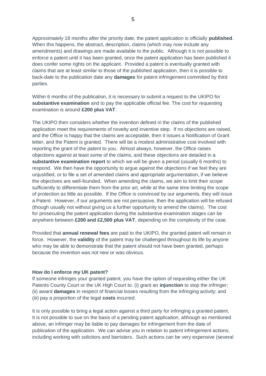Approximately 18 months after the priority date, the patent application is officially **published**. When this happens, the abstract, description, claims (which may now include any amendments) and drawings are made available to the public. Although it is not possible to enforce a patent until it has been granted, once the patent application has been published it does confer some rights on the applicant. Provided a patent is eventually granted with claims that are at least similar to those of the published application, then it is possible to back-date to the publication date any **damages** for patent infringement committed by third parties.

Within 6 months of the publication, it is necessary to submit a request to the UKIPO for **substantive examination** and to pay the applicable official fee. The cost for requesting examination is around **£200 plus VAT**.

The UKIPO then considers whether the invention defined in the claims of the published application meet the requirements of novelty and inventive step. If no objections are raised, and the Office is happy that the claims are acceptable, then it issues a Notification of Grant letter, and the Patent is granted. There will be a modest administrative cost involved with reporting the grant of the patent to you. Almost always, however, the Office raises objections against at least some of the claims, and these objections are detailed in a **substantive examination report** to which we will be given a period (usually 6 months) to respond. We then have the opportunity to argue against the objections if we feel they are unjustified, or to file a set of amended claims and appropriate argumentation, if we believe the objectives are well-founded. When amending the claims, we aim to limit their scope sufficiently to differentiate them from the prior art, while at the same time limiting the scope of protection as little as possible. If the Office is convinced by our arguments, they will issue a Patent. However, if our arguments are not persuasive, then the application will be refused (though usually not without giving us a further opportunity to amend the claims). The cost for prosecuting the patent application during the substantive examination stages can be anywhere between **£200 and £2,500 plus VAT**, depending on the complexity of the case.

Provided that **annual renewal fees** are paid to the UKIPO, the granted patent will remain in force. However, the **validity** of the patent may be challenged throughout its life by anyone who may be able to demonstrate that the patent should not have been granted, perhaps because the invention was not new or was obvious.

#### **How do I enforce my UK patent?**

If someone infringes your granted patent, you have the option of requesting either the UK Patents County Court or the UK High Court to: (i) grant an **injunction** to stop the infringer; (ii) award **damages** in respect of financial losses resulting from the infringing activity; and (iii) pay a proportion of the legal **costs** incurred.

It is only possible to bring a legal action against a third party for infringing a granted patent. It is not possible to sue on the basis of a pending patent application, although as mentioned above, an infringer may be liable to pay damages for infringement from the date of publication of the application. We can advise you in relation to patent infringement actions, including working with solicitors and barristers. Such actions can be very expensive (several